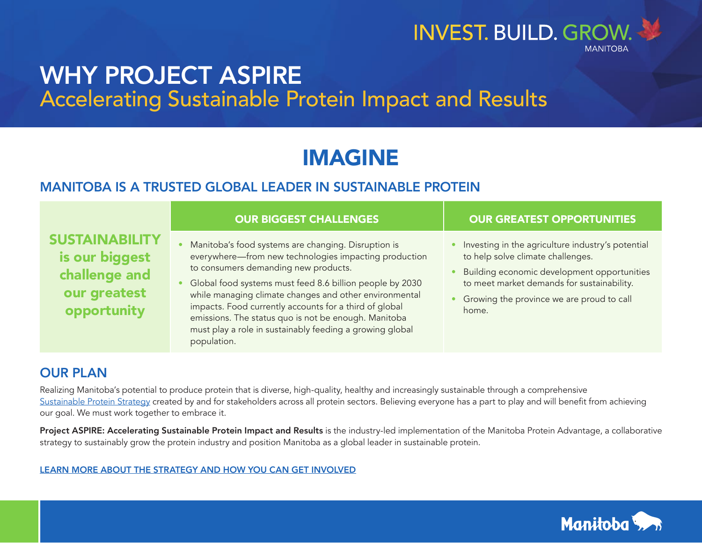

## WHY PROJECT ASPIRE Accelerating Sustainable Protein Impact and Results

# IMAGINE

#### MANITOBA IS A TRUSTED GLOBAL LEADER IN SUSTAINABLE PROTEIN

|                                                                                         | <b>OUR BIGGEST CHALLENGES</b>                                                                                                                                                                                                                                                                                                                                                                                                                                           | <b>OUR GREATEST OPPORTUNITIES</b>                                                                                                                                                                                                         |
|-----------------------------------------------------------------------------------------|-------------------------------------------------------------------------------------------------------------------------------------------------------------------------------------------------------------------------------------------------------------------------------------------------------------------------------------------------------------------------------------------------------------------------------------------------------------------------|-------------------------------------------------------------------------------------------------------------------------------------------------------------------------------------------------------------------------------------------|
| <b>SUSTAINABILITY</b><br>is our biggest<br>challenge and<br>our greatest<br>opportunity | Manitoba's food systems are changing. Disruption is<br>everywhere-from new technologies impacting production<br>to consumers demanding new products.<br>Global food systems must feed 8.6 billion people by 2030<br>while managing climate changes and other environmental<br>impacts. Food currently accounts for a third of global<br>emissions. The status quo is not be enough. Manitoba<br>must play a role in sustainably feeding a growing global<br>population. | Investing in the agriculture industry's potential<br>to help solve climate challenges.<br>Building economic development opportunities<br>to meet market demands for sustainability.<br>Growing the province we are proud to call<br>home. |

### OUR PLAN

Realizing Manitoba's potential to produce protein that is diverse, high-quality, healthy and increasingly sustainable through a comprehensive [Sustainable Protein Strategy](https://www.gov.mb.ca/agriculture/protein/sustainability/pubs/sp-base-map.pdf) created by and for stakeholders across all protein sectors. Believing everyone has a part to play and will benefit from achieving our goal. We must work together to embrace it.

Project ASPIRE: Accelerating Sustainable Protein Impact and Results is the industry-led implementation of the Manitoba Protein Advantage, a collaborative strategy to sustainably grow the protein industry and position Manitoba as a global leader in sustainable protein.

[LEARN MORE ABOUT THE STRATEGY AND HOW YOU CAN GET INVOLVED](mailto:mbproteinadvantage%40gov.mb.ca?subject=)